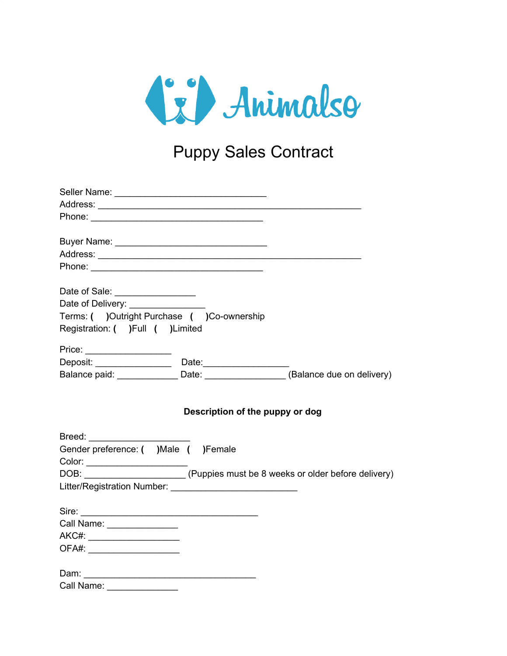

## Puppy Sales Contract

| Phone: 2008 Phone: 2008 Phone: 2008 Phone: 2008 Phone: 2008 Phone: 2008 Phone: 2008 Phone: 2008 Phone: 2008 Phone: 2008 Phone: 2008 Phone: 2008 Phone: 2008 Phone: 2008 Phone: 2008 Phone: 2008 Phone: 2008 Phone: 2008 Phone: |
|--------------------------------------------------------------------------------------------------------------------------------------------------------------------------------------------------------------------------------|
| Date of Sale: _________________                                                                                                                                                                                                |
| Date of Delivery: ________________                                                                                                                                                                                             |
| Terms: ( )Outright Purchase ( )Co-ownership                                                                                                                                                                                    |
| Registration: ( )Full ( )Limited                                                                                                                                                                                               |
| Price: _____________________                                                                                                                                                                                                   |
|                                                                                                                                                                                                                                |
| Balance paid: Date: Date: (Balance due on delivery)                                                                                                                                                                            |
| Description of the puppy or dog                                                                                                                                                                                                |
|                                                                                                                                                                                                                                |
| Gender preference: ( )Male ( )Female                                                                                                                                                                                           |
|                                                                                                                                                                                                                                |
|                                                                                                                                                                                                                                |
|                                                                                                                                                                                                                                |
|                                                                                                                                                                                                                                |
| Call Name: ________________                                                                                                                                                                                                    |
| AKC#: _______________________                                                                                                                                                                                                  |
| OFA#: ________________________                                                                                                                                                                                                 |
|                                                                                                                                                                                                                                |
| Call Name:                                                                                                                                                                                                                     |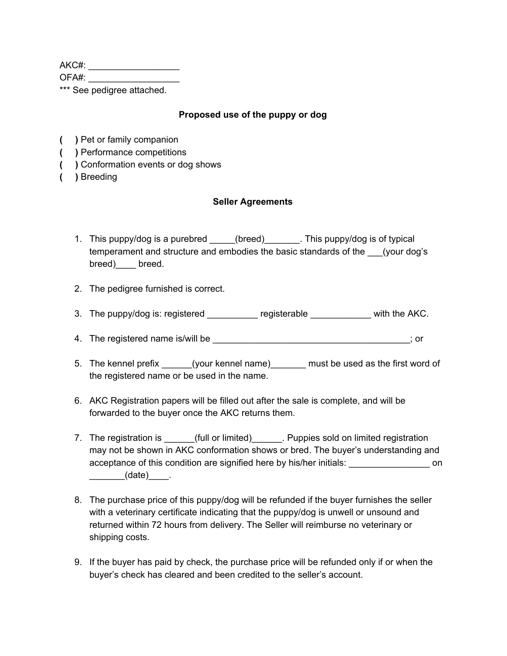AKC#: \_\_\_\_\_\_\_\_\_\_\_\_\_\_\_\_\_\_

OFA#:

\*\*\* See pedigree attached.

## **Proposed use of the puppy or dog**

- **( )** Pet or family companion
- **( )** Performance competitions
- **( )** Conformation events or dog shows
- **( )** Breeding

## **Seller Agreements**

- 1. This puppy/dog is a purebred (breed) This puppy/dog is of typical temperament and structure and embodies the basic standards of the \_\_\_(your dog's breed)\_\_\_\_ breed.
- 2. The pedigree furnished is correct.
- 3. The puppy/dog is: registered \_\_\_\_\_\_\_\_\_\_ registerable \_\_\_\_\_\_\_\_\_\_\_\_ with the AKC.
- 4. The registered name is/will be  $\ddot{\phantom{a}}$  and  $\ddot{\phantom{a}}$  are  $\ddot{\phantom{a}}$ ; or
- 5. The kennel prefix \_\_\_\_\_\_(your kennel name)\_\_\_\_\_\_\_ must be used as the first word of the registered name or be used in the name.
- 6. AKC Registration papers will be filled out after the sale is complete, and will be forwarded to the buyer once the AKC returns them.
- 7. The registration is equal or limited) The Puppies sold on limited registration may not be shown in AKC conformation shows or bred. The buyer's understanding and acceptance of this condition are signified here by his/her initials: \_\_\_\_\_\_\_\_\_\_\_\_\_\_\_\_\_\_ on  $(date)$  .
- 8. The purchase price of this puppy/dog will be refunded if the buyer furnishes the seller with a veterinary certificate indicating that the puppy/dog is unwell or unsound and returned within 72 hours from delivery. The Seller will reimburse no veterinary or shipping costs.
- 9. If the buyer has paid by check, the purchase price will be refunded only if or when the buyer's check has cleared and been credited to the seller's account.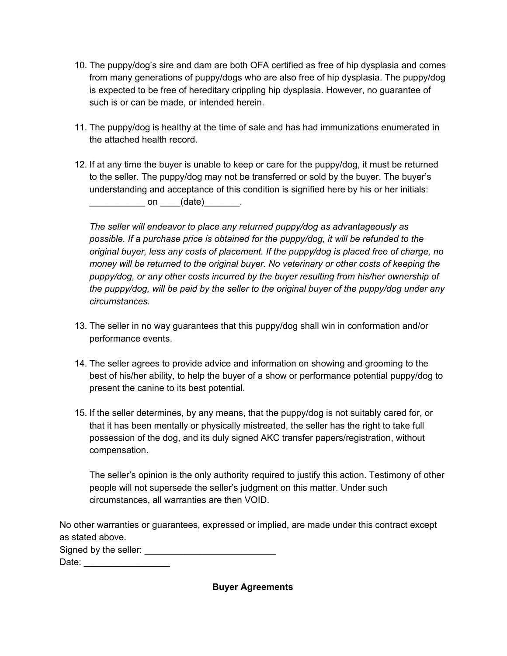- 10. The puppy/dog's sire and dam are both OFA certified as free of hip dysplasia and comes from many generations of puppy/dogs who are also free of hip dysplasia. The puppy/dog is expected to be free of hereditary crippling hip dysplasia. However, no guarantee of such is or can be made, or intended herein.
- 11. The puppy/dog is healthy at the time of sale and has had immunizations enumerated in the attached health record.
- 12. If at any time the buyer is unable to keep or care for the puppy/dog, it must be returned to the seller. The puppy/dog may not be transferred or sold by the buyer. The buyer's understanding and acceptance of this condition is signified here by his or her initials:  $\Box$  on  $(\text{date})$

*The seller will endeavor to place any returned puppy/dog as advantageously as possible. If a purchase price is obtained for the puppy/dog, it will be refunded to the original buyer, less any costs of placement. If the puppy/dog is placed free of charge, no money will be returned to the original buyer. No veterinary or other costs of keeping the puppy/dog, or any other costs incurred by the buyer resulting from his/her ownership of the puppy/dog, will be paid by the seller to the original buyer of the puppy/dog under any circumstances.*

- 13. The seller in no way guarantees that this puppy/dog shall win in conformation and/or performance events.
- 14. The seller agrees to provide advice and information on showing and grooming to the best of his/her ability, to help the buyer of a show or performance potential puppy/dog to present the canine to its best potential.
- 15. If the seller determines, by any means, that the puppy/dog is not suitably cared for, or that it has been mentally or physically mistreated, the seller has the right to take full possession of the dog, and its duly signed AKC transfer papers/registration, without compensation.

The seller's opinion is the only authority required to justify this action. Testimony of other people will not supersede the seller's judgment on this matter. Under such circumstances, all warranties are then VOID.

No other warranties or guarantees, expressed or implied, are made under this contract except as stated above. Signed by the seller: \_\_\_\_\_\_\_\_\_\_\_\_\_\_\_\_\_\_\_\_\_\_\_\_\_\_ Date: \_\_\_\_\_\_\_\_\_\_\_\_\_\_\_\_\_

**Buyer Agreements**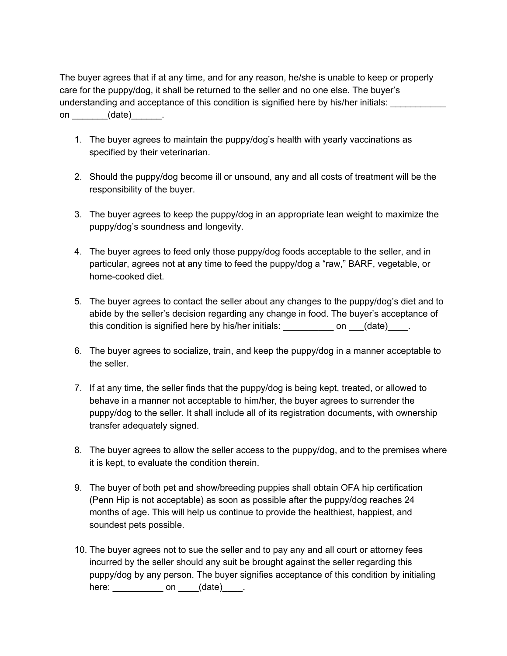The buyer agrees that if at any time, and for any reason, he/she is unable to keep or properly care for the puppy/dog, it shall be returned to the seller and no one else. The buyer's understanding and acceptance of this condition is signified here by his/her initials: on (date) .

- 1. The buyer agrees to maintain the puppy/dog's health with yearly vaccinations as specified by their veterinarian.
- 2. Should the puppy/dog become ill or unsound, any and all costs of treatment will be the responsibility of the buyer.
- 3. The buyer agrees to keep the puppy/dog in an appropriate lean weight to maximize the puppy/dog's soundness and longevity.
- 4. The buyer agrees to feed only those puppy/dog foods acceptable to the seller, and in particular, agrees not at any time to feed the puppy/dog a "raw," BARF, vegetable, or home-cooked diet.
- 5. The buyer agrees to contact the seller about any changes to the puppy/dog's diet and to abide by the seller's decision regarding any change in food. The buyer's acceptance of this condition is signified here by his/her initials: \_\_\_\_\_\_\_\_\_\_\_\_ on \_\_\_(date)\_\_\_\_.
- 6. The buyer agrees to socialize, train, and keep the puppy/dog in a manner acceptable to the seller.
- 7. If at any time, the seller finds that the puppy/dog is being kept, treated, or allowed to behave in a manner not acceptable to him/her, the buyer agrees to surrender the puppy/dog to the seller. It shall include all of its registration documents, with ownership transfer adequately signed.
- 8. The buyer agrees to allow the seller access to the puppy/dog, and to the premises where it is kept, to evaluate the condition therein.
- 9. The buyer of both pet and show/breeding puppies shall obtain OFA hip certification (Penn Hip is not acceptable) as soon as possible after the puppy/dog reaches 24 months of age. This will help us continue to provide the healthiest, happiest, and soundest pets possible.
- 10. The buyer agrees not to sue the seller and to pay any and all court or attorney fees incurred by the seller should any suit be brought against the seller regarding this puppy/dog by any person. The buyer signifies acceptance of this condition by initialing here: \_\_\_\_\_\_\_\_\_\_\_\_\_\_\_ on \_\_\_\_(date)\_\_\_\_\_.